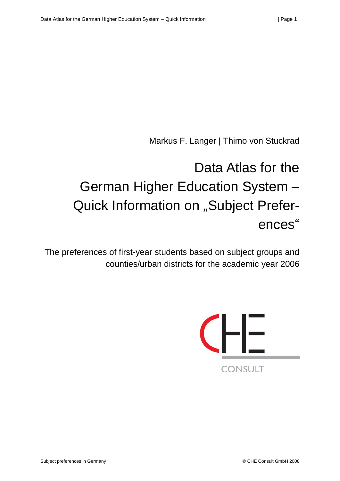Markus F. Langer | Thimo von Stuckrad

# Data Atlas for the German Higher Education System – Quick Information on "Subject Preferences"

The preferences of first-year students based on subject groups and counties/urban districts for the academic year 2006

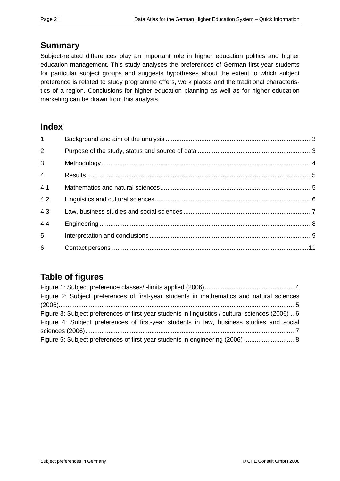# **Summary**

Subject-related differences play an important role in higher education politics and higher education management. This study analyses the preferences of German first year students for particular subject groups and suggests hypotheses about the extent to which subject preference is related to study programme offers, work places and the traditional characteristics of a region. Conclusions for higher education planning as well as for higher education marketing can be drawn from this analysis.

## **Index**

| $\mathbf{1}$    |  |
|-----------------|--|
| $\overline{2}$  |  |
| 3               |  |
| $\overline{4}$  |  |
| 4.1             |  |
| 4.2             |  |
| 4.3             |  |
| 4.4             |  |
| 5               |  |
| $6\phantom{1}6$ |  |

# **Table of figures**

| Figure 2: Subject preferences of first-year students in mathematics and natural sciences          |
|---------------------------------------------------------------------------------------------------|
|                                                                                                   |
| Figure 3: Subject preferences of first-year students in linguistics / cultural sciences (2006)  6 |
| Figure 4: Subject preferences of first-year students in law, business studies and social          |
|                                                                                                   |
| Figure 5: Subject preferences of first-year students in engineering (2006)  8                     |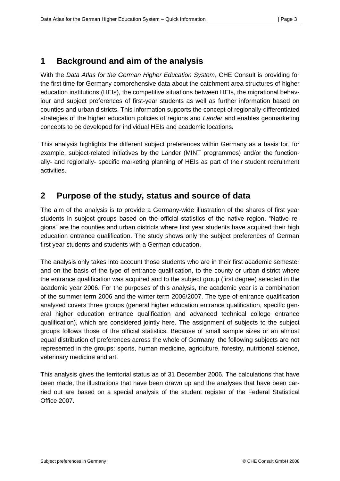## <span id="page-2-0"></span>**1 Background and aim of the analysis**

With the *Data Atlas for the German Higher Education System*, CHE Consult is providing for the first time for Germany comprehensive data about the catchment area structures of higher education institutions (HEIs), the competitive situations between HEIs, the migrational behaviour and subject preferences of first-year students as well as further information based on counties and urban districts. This information supports the concept of regionally-differentiated strategies of the higher education policies of regions and *Länder* and enables geomarketing concepts to be developed for individual HEIs and academic locations.

This analysis highlights the different subject preferences within Germany as a basis for, for example, subject-related initiatives by the Länder (MINT programmes) and/or the functionally- and regionally- specific marketing planning of HEIs as part of their student recruitment activities.

## <span id="page-2-1"></span>**2 Purpose of the study, status and source of data**

The aim of the analysis is to provide a Germany-wide illustration of the shares of first year students in subject groups based on the official statistics of the native region. "Native regions" are the counties and urban districts where first year students have acquired their high education entrance qualification. The study shows only the subject preferences of German first year students and students with a German education.

The analysis only takes into account those students who are in their first academic semester and on the basis of the type of entrance qualification, to the county or urban district where the entrance qualification was acquired and to the subject group (first degree) selected in the academic year 2006. For the purposes of this analysis, the academic year is a combination of the summer term 2006 and the winter term 2006/2007. The type of entrance qualification analysed covers three groups (general higher education entrance qualification, specific general higher education entrance qualification and advanced technical college entrance qualification), which are considered jointly here. The assignment of subjects to the subject groups follows those of the official statistics. Because of small sample sizes or an almost equal distribution of preferences across the whole of Germany, the following subjects are not represented in the groups: sports, human medicine, agriculture, forestry, nutritional science, veterinary medicine and art.

This analysis gives the territorial status as of 31 December 2006. The calculations that have been made, the illustrations that have been drawn up and the analyses that have been carried out are based on a special analysis of the student register of the Federal Statistical Office 2007.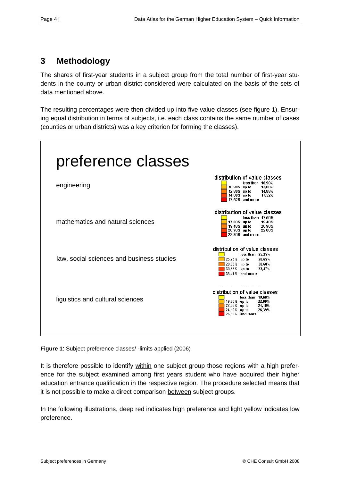# <span id="page-3-0"></span>**3 Methodology**

The shares of first-year students in a subject group from the total number of first-year students in the county or urban district considered were calculated on the basis of the sets of data mentioned above.

The resulting percentages were then divided up into five value classes (see figure 1). Ensuring equal distribution in terms of subjects, i.e. each class contains the same number of cases (counties or urban districts) was a key criterion for forming the classes).



<span id="page-3-1"></span>**Figure 1**: Subject preference classes/ -limits applied (2006)

It is therefore possible to identify within one subject group those regions with a high preference for the subject examined among first years student who have acquired their higher education entrance qualification in the respective region. The procedure selected means that it is not possible to make a direct comparison between subject groups.

In the following illustrations, deep red indicates high preference and light yellow indicates low preference.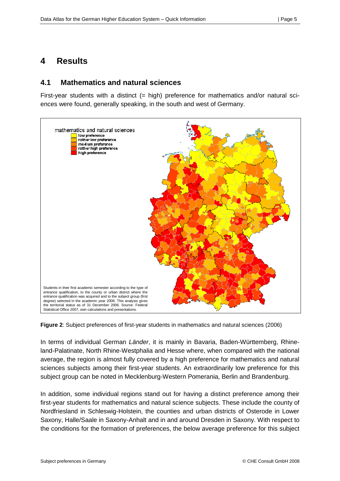## <span id="page-4-0"></span>**4 Results**

#### <span id="page-4-1"></span>**4.1 Mathematics and natural sciences**

First-year students with a distinct  $(= high)$  preference for mathematics and/or natural sciences were found, generally speaking, in the south and west of Germany.



<span id="page-4-2"></span>**Figure 2**: Subject preferences of first-year students in mathematics and natural sciences (2006)

In terms of individual German *Länder*, it is mainly in Bavaria, Baden-Württemberg, Rhineland-Palatinate, North Rhine-Westphalia and Hesse where, when compared with the national average, the region is almost fully covered by a high preference for mathematics and natural sciences subjects among their first-year students. An extraordinarily low preference for this subject group can be noted in Mecklenburg-Western Pomerania, Berlin and Brandenburg.

In addition, some individual regions stand out for having a distinct preference among their first-year students for mathematics and natural science subjects. These include the county of Nordfriesland in Schleswig-Holstein, the counties and urban districts of Osterode in Lower Saxony, Halle/Saale in Saxony-Anhalt and in and around Dresden in Saxony. With respect to the conditions for the formation of preferences, the below average preference for this subject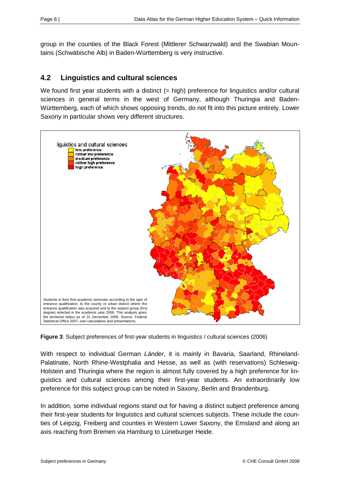group in the counties of the Black Forest (Mittlerer Schwarzwald) and the Swabian Mountains (Schwäbische Alb) in Baden-Württemberg is very instructive.

## <span id="page-5-0"></span>**4.2 Linguistics and cultural sciences**

We found first year students with a distinct (= high) preference for linguistics and/or cultural sciences in general terms in the west of Germany, although Thuringia and Baden-Württemberg, each of which shows opposing trends, do not fit into this picture entirely. Lower Saxony in particular shows very different structures.



<span id="page-5-1"></span>**Figure 3**: Subject preferences of first-year students in linguistics / cultural sciences (2006)

With respect to individual German *Länder*, it is mainly in Bavaria, Saarland, Rhineland-Palatinate, North Rhine-Westphalia and Hesse, as well as (with reservations) Schleswig-Holstein and Thuringia where the region is almost fully covered by a high preference for linguistics and cultural sciences among their first-year students. An extraordinarily low preference for this subject group can be noted in Saxony, Berlin and Brandenburg.

In addition, some individual regions stand out for having a distinct subject preference among their first-year students for linguistics and cultural sciences subjects. These include the counties of Leipzig, Freiberg and counties in Western Lower Saxony, the Emsland and along an axis reaching from Bremen via Hamburg to Lüneburger Heide.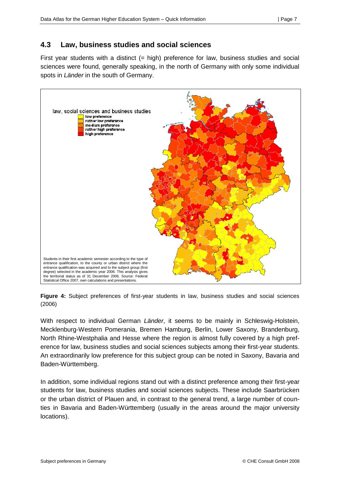### <span id="page-6-0"></span>**4.3 Law, business studies and social sciences**

First year students with a distinct (= high) preference for law, business studies and social sciences were found, generally speaking, in the north of Germany with only some individual spots in *Länder* in the south of Germany.



<span id="page-6-1"></span>**Figure 4:** Subject preferences of first-year students in law, business studies and social sciences (2006)

With respect to individual German *Länder*, it seems to be mainly in Schleswig-Holstein, Mecklenburg-Western Pomerania, Bremen Hamburg, Berlin, Lower Saxony, Brandenburg, North Rhine-Westphalia and Hesse where the region is almost fully covered by a high preference for law, business studies and social sciences subjects among their first-year students. An extraordinarily low preference for this subject group can be noted in Saxony, Bavaria and Baden-Württemberg.

In addition, some individual regions stand out with a distinct preference among their first-year students for law, business studies and social sciences subjects. These include Saarbrücken or the urban district of Plauen and, in contrast to the general trend, a large number of counties in Bavaria and Baden-Württemberg (usually in the areas around the major university locations).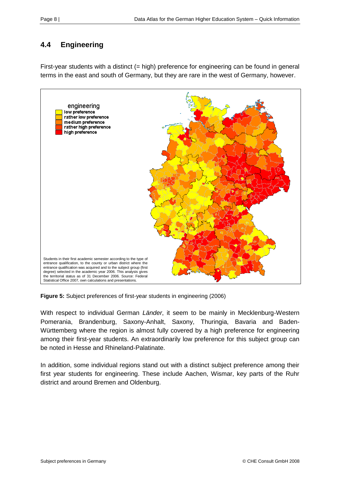# <span id="page-7-0"></span>**4.4 Engineering**

First-year students with a distinct (= high) preference for engineering can be found in general terms in the east and south of Germany, but they are rare in the west of Germany, however.



<span id="page-7-1"></span>**Figure 5:** Subject preferences of first-year students in engineering (2006)

With respect to individual German *Länder*, it seem to be mainly in Mecklenburg-Western Pomerania, Brandenburg, Saxony-Anhalt, Saxony, Thuringia, Bavaria and Baden-Württemberg where the region is almost fully covered by a high preference for engineering among their first-year students. An extraordinarily low preference for this subject group can be noted in Hesse and Rhineland-Palatinate.

In addition, some individual regions stand out with a distinct subject preference among their first year students for engineering. These include Aachen, Wismar, key parts of the Ruhr district and around Bremen and Oldenburg.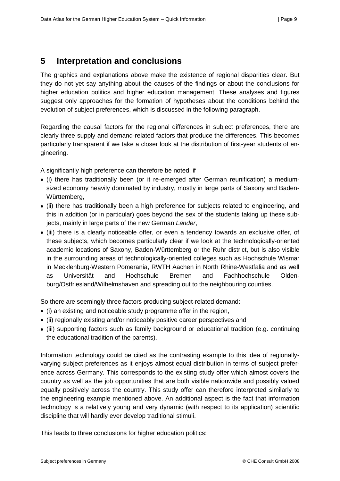## <span id="page-8-0"></span>**5 Interpretation and conclusions**

The graphics and explanations above make the existence of regional disparities clear. But they do not yet say anything about the causes of the findings or about the conclusions for higher education politics and higher education management. These analyses and figures suggest only approaches for the formation of hypotheses about the conditions behind the evolution of subject preferences, which is discussed in the following paragraph.

Regarding the causal factors for the regional differences in subject preferences, there are clearly three supply and demand-related factors that produce the differences. This becomes particularly transparent if we take a closer look at the distribution of first-year students of engineering.

A significantly high preference can therefore be noted, if

- (i) there has traditionally been (or it re-emerged after German reunification) a mediumsized economy heavily dominated by industry, mostly in large parts of Saxony and Baden-Württemberg,
- (ii) there has traditionally been a high preference for subjects related to engineering, and this in addition (or in particular) goes beyond the sex of the students taking up these subjects, mainly in large parts of the new German *Länder*,
- (iii) there is a clearly noticeable offer, or even a tendency towards an exclusive offer, of these subjects, which becomes particularly clear if we look at the technologically-oriented academic locations of Saxony, Baden-Württemberg or the Ruhr district, but is also visible in the surrounding areas of technologically-oriented colleges such as Hochschule Wismar in Mecklenburg-Western Pomerania, RWTH Aachen in North Rhine-Westfalia and as well as Universität and Hochschule Bremen and Fachhochschule Oldenburg/Ostfriesland/Wilhelmshaven and spreading out to the neighbouring counties.

So there are seemingly three factors producing subject-related demand:

- (i) an existing and noticeable study programme offer in the region,
- (ii) regionally existing and/or noticeably positive career perspectives and
- (iii) supporting factors such as family background or educational tradition (e.g. continuing the educational tradition of the parents).

Information technology could be cited as the contrasting example to this idea of regionallyvarying subject preferences as it enjoys almost equal distribution in terms of subject preference across Germany. This corresponds to the existing study offer which almost covers the country as well as the job opportunities that are both visible nationwide and possibly valued equally positively across the country. This study offer can therefore interpreted similarly to the engineering example mentioned above. An additional aspect is the fact that information technology is a relatively young and very dynamic (with respect to its application) scientific discipline that will hardly ever develop traditional stimuli.

This leads to three conclusions for higher education politics: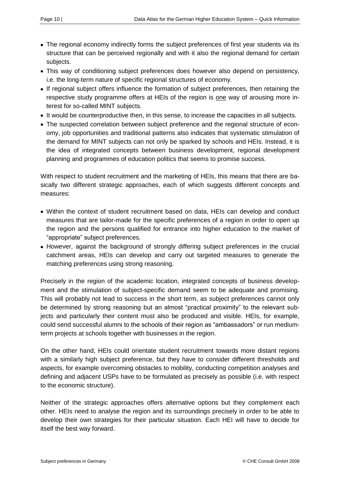- The regional economy indirectly forms the subject preferences of first year students via its structure that can be perceived regionally and with it also the regional demand for certain subjects.
- This way of conditioning subject preferences does however also depend on persistency, i.e. the long-term nature of specific regional structures of economy.
- If regional subject offers influence the formation of subject preferences, then retaining the respective study programme offers at HEIs of the region is one way of arousing more interest for so-called MINT subjects.
- It would be counterproductive then, in this sense, to increase the capacities in all subjects.
- The suspected correlation between subject preference and the regional structure of economy, job opportunities and traditional patterns also indicates that systematic stimulation of the demand for MINT subjects can not only be sparked by schools and HEIs. Instead, it is the idea of integrated concepts between business development, regional development planning and programmes of education politics that seems to promise success.

With respect to student recruitment and the marketing of HEIs, this means that there are basically two different strategic approaches, each of which suggests different concepts and measures:

- Within the context of student recruitment based on data, HEIs can develop and conduct measures that are tailor-made for the specific preferences of a region in order to open up the region and the persons qualified for entrance into higher education to the market of "appropriate" subject preferences.
- However, against the background of strongly differing subject preferences in the crucial catchment areas, HEIs can develop and carry out targeted measures to generate the matching preferences using strong reasoning.

Precisely in the region of the academic location, integrated concepts of business development and the stimulation of subject-specific demand seem to be adequate and promising. This will probably not lead to success in the short term, as subject preferences cannot only be determined by strong reasoning but an almost "practical proximity" to the relevant subjects and particularly their content must also be produced and visible. HEIs, for example, could send successful alumni to the schools of their region as "ambassadors" or run mediumterm projects at schools together with businesses in the region.

On the other hand, HEIs could orientate student recruitment towards more distant regions with a similarly high subject preference, but they have to consider different thresholds and aspects, for example overcoming obstacles to mobility, conducting competition analyses and defining and adjacent USPs have to be formulated as precisely as possible (i.e. with respect to the economic structure).

Neither of the strategic approaches offers alternative options but they complement each other. HEIs need to analyse the region and its surroundings precisely in order to be able to develop their own strategies for their particular situation. Each HEI will have to decide for itself the best way forward.